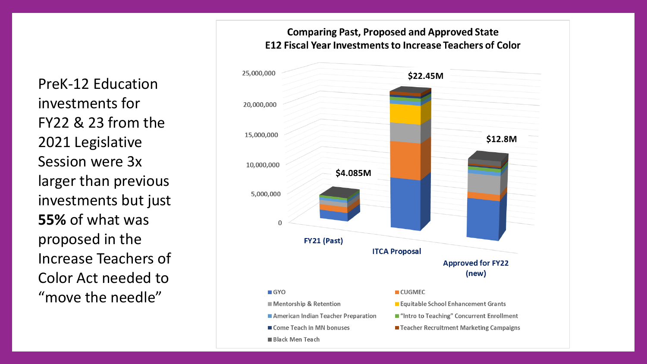PreK-12 Education investments for FY22 & 23 from the 2021 Legislative Session were 3x larger than previous investments but just **55%** of what was proposed in the Increase Teachers of Color Act needed to "move the needle"

## **Comparing Past, Proposed and Approved State E12 Fiscal Year Investments to Increase Teachers of Color**